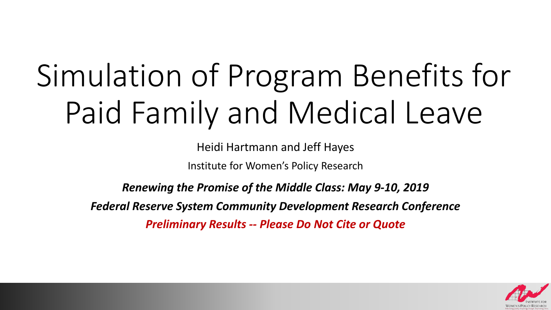# Simulation of Program Benefits for Paid Family and Medical Leave

Heidi Hartmann and Jeff Hayes

Institute for Women's Policy Research

*Renewing the Promise of the Middle Class: May 9-10, 2019*

*Federal Reserve System Community Development Research Conference Preliminary Results -- Please Do Not Cite or Quote*

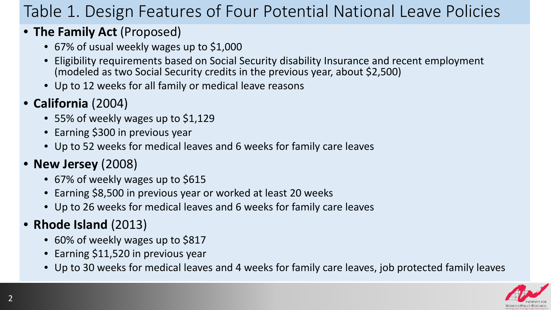# Table 1. Design Features of Four Potential National Leave Policies

### • **The Family Act** (Proposed)

- 67% of usual weekly wages up to \$1,000
- Eligibility requirements based on Social Security disability Insurance and recent employment (modeled as two Social Security credits in the previous year, about \$2,500)
- Up to 12 weeks for all family or medical leave reasons

## • **California** (2004)

- 55% of weekly wages up to \$1,129
- Earning \$300 in previous year
- Up to 52 weeks for medical leaves and 6 weeks for family care leaves

## • **New Jersey** (2008)

- 67% of weekly wages up to \$615
- Earning \$8,500 in previous year or worked at least 20 weeks
- Up to 26 weeks for medical leaves and 6 weeks for family care leaves

## • **Rhode Island** (2013)

- 60% of weekly wages up to \$817
- Earning \$11,520 in previous year
- Up to 30 weeks for medical leaves and 4 weeks for family care leaves, job protected family leaves

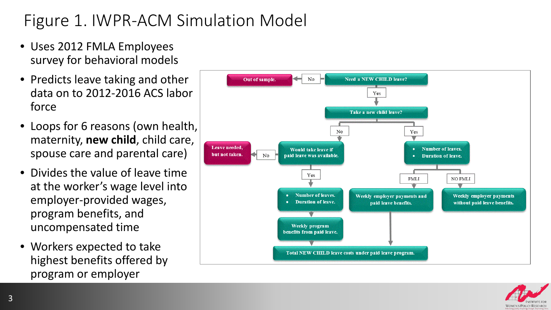# Figure 1. IWPR-ACM Simulation Model

- Uses 2012 FMLA Employees survey for behavioral models
- Predicts leave taking and other data on to 2012-2016 ACS labor force
- Loops for 6 reasons (own health, maternity, **new child**, child care, spouse care and parental care)
- Divides the value of leave time at the worker's wage level into employer-provided wages, program benefits, and uncompensated time
- Workers expected to take highest benefits offered by program or employer



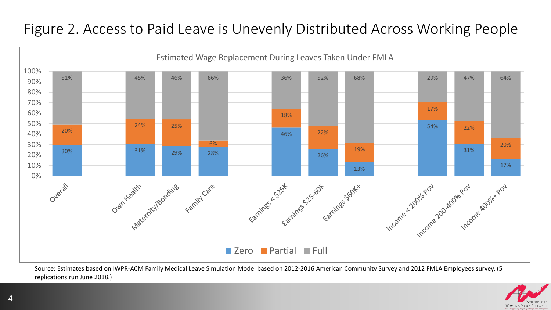## Figure 2. Access to Paid Leave is Unevenly Distributed Across Working People



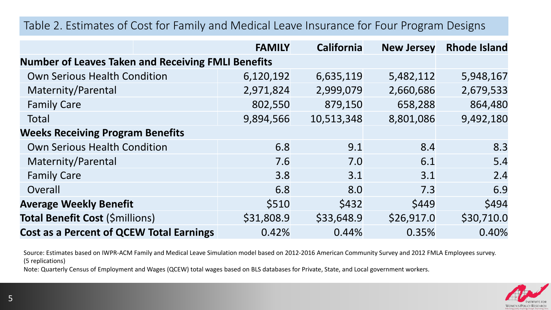#### Table 2. Estimates of Cost for Family and Medical Leave Insurance for Four Program Designs

|                                                           | <b>FAMILY</b> | <b>California</b> | <b>New Jersey</b> | <b>Rhode Island</b> |  |  |  |  |
|-----------------------------------------------------------|---------------|-------------------|-------------------|---------------------|--|--|--|--|
| <b>Number of Leaves Taken and Receiving FMLI Benefits</b> |               |                   |                   |                     |  |  |  |  |
| <b>Own Serious Health Condition</b>                       | 6,120,192     | 6,635,119         | 5,482,112         | 5,948,167           |  |  |  |  |
| Maternity/Parental                                        | 2,971,824     | 2,999,079         | 2,660,686         | 2,679,533           |  |  |  |  |
| <b>Family Care</b>                                        | 802,550       | 879,150           | 658,288           | 864,480             |  |  |  |  |
| Total                                                     | 9,894,566     | 10,513,348        | 8,801,086         | 9,492,180           |  |  |  |  |
| <b>Weeks Receiving Program Benefits</b>                   |               |                   |                   |                     |  |  |  |  |
| <b>Own Serious Health Condition</b>                       | 6.8           | 9.1               | 8.4               | 8.3                 |  |  |  |  |
| Maternity/Parental                                        | 7.6           | 7.0               | 6.1               | 5.4                 |  |  |  |  |
| <b>Family Care</b>                                        | 3.8           | 3.1               | 3.1               | 2.4                 |  |  |  |  |
| Overall                                                   | 6.8           | 8.0               | 7.3               | 6.9                 |  |  |  |  |
| <b>Average Weekly Benefit</b>                             | \$510         | \$432             | \$449             | \$494               |  |  |  |  |
| Total Benefit Cost (\$millions)                           | \$31,808.9    | \$33,648.9        | \$26,917.0        | \$30,710.0          |  |  |  |  |
| <b>Cost as a Percent of QCEW Total Earnings</b>           | 0.42%         | 0.44%             | 0.35%             | 0.40%               |  |  |  |  |

Source: Estimates based on IWPR-ACM Family and Medical Leave Simulation model based on 2012-2016 American Community Survey and 2012 FMLA Employees survey. (5 replications)

Note: Quarterly Census of Employment and Wages (QCEW) total wages based on BLS databases for Private, State, and Local government workers.

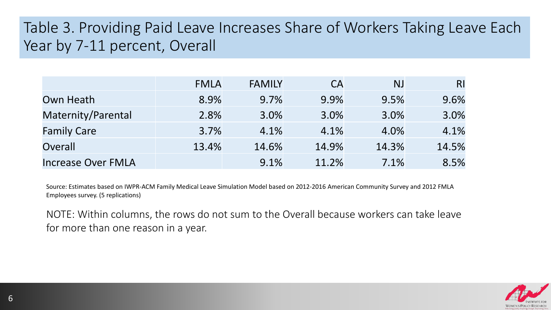## Table 3. Providing Paid Leave Increases Share of Workers Taking Leave Each Year by 7-11 percent, Overall

|                           | <b>FMLA</b> | <b>FAMILY</b> | <b>CA</b> | <b>NJ</b> | R <sub>l</sub> |
|---------------------------|-------------|---------------|-----------|-----------|----------------|
| Own Heath                 | 8.9%        | 9.7%          | 9.9%      | 9.5%      | 9.6%           |
| Maternity/Parental        | 2.8%        | 3.0%          | 3.0%      | 3.0%      | 3.0%           |
| <b>Family Care</b>        | 3.7%        | 4.1%          | 4.1%      | 4.0%      | 4.1%           |
| Overall                   | 13.4%       | 14.6%         | 14.9%     | 14.3%     | 14.5%          |
| <b>Increase Over FMLA</b> |             | 9.1%          | 11.2%     | 7.1%      | 8.5%           |

Source: Estimates based on IWPR-ACM Family Medical Leave Simulation Model based on 2012-2016 American Community Survey and 2012 FMLA Employees survey. (5 replications)

NOTE: Within columns, the rows do not sum to the Overall because workers can take leave for more than one reason in a year.

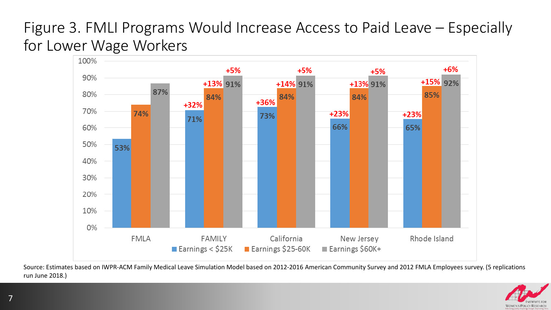## Figure 3. FMLI Programs Would Increase Access to Paid Leave – Especially for Lower Wage Workers



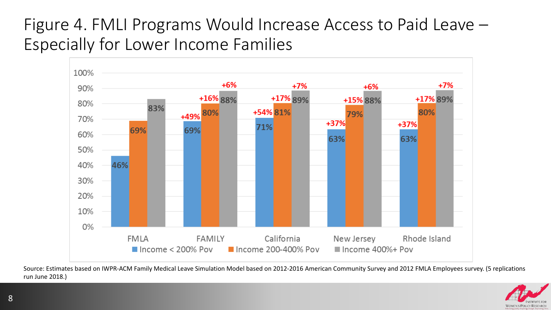## Figure 4. FMLI Programs Would Increase Access to Paid Leave – Especially for Lower Income Families



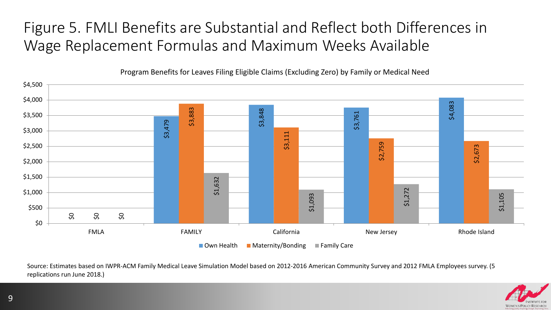## Figure 5. FMLI Benefits are Substantial and Reflect both Differences in Wage Replacement Formulas and Maximum Weeks Available



Program Benefits for Leaves Filing Eligible Claims (Excluding Zero) by Family or Medical Need

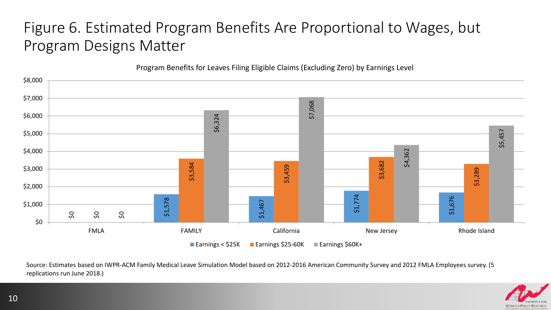## Figure 6. Estimated Program Benefits Are Proportional to Wages, but Program Designs Matter

Program Benefits for Leaves Filing Eligible Claims (Excluding Zero) by Earnings Level



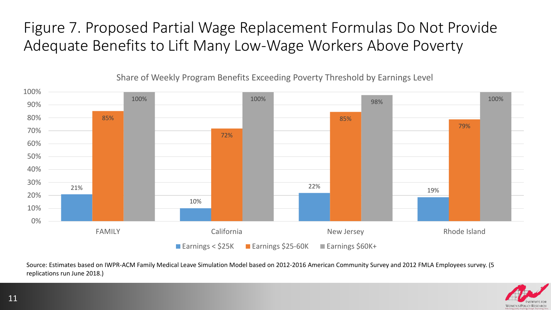Figure 7. Proposed Partial Wage Replacement Formulas Do Not Provide Adequate Benefits to Lift Many Low-Wage Workers Above Poverty



Share of Weekly Program Benefits Exceeding Poverty Threshold by Earnings Level

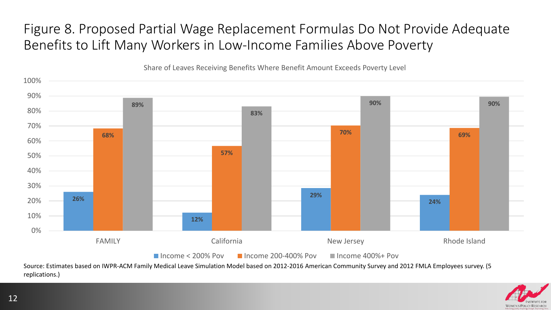## Figure 8. Proposed Partial Wage Replacement Formulas Do Not Provide Adequate Benefits to Lift Many Workers in Low-Income Families Above Poverty



Share of Leaves Receiving Benefits Where Benefit Amount Exceeds Poverty Level

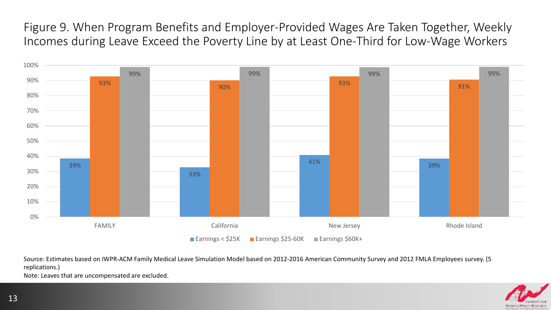Figure 9. When Program Benefits and Employer-Provided Wages Are Taken Together, Weekly Incomes during Leave Exceed the Poverty Line by at Least One-Third for Low-Wage Workers



Source: Estimates based on IWPR-ACM Family Medical Leave Simulation Model based on 2012-2016 American Community Survey and 2012 FMLA Employees survey. (5 replications.)

Note: Leaves that are uncompensated are excluded.